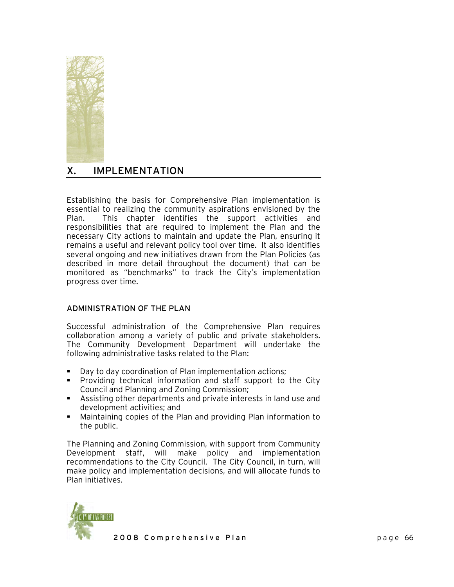

# X. IMPLEMENTATION

Establishing the basis for Comprehensive Plan implementation is essential to realizing the community aspirations envisioned by the Plan. This chapter identifies the support activities and responsibilities that are required to implement the Plan and the necessary City actions to maintain and update the Plan, ensuring it remains a useful and relevant policy tool over time. It also identifies several ongoing and new initiatives drawn from the Plan Policies (as described in more detail throughout the document) that can be monitored as "benchmarks" to track the City's implementation progress over time.

## ADMINISTRATION OF THE PLAN

Successful administration of the Comprehensive Plan requires collaboration among a variety of public and private stakeholders. The Community Development Department will undertake the following administrative tasks related to the Plan:

- Day to day coordination of Plan implementation actions;
- **Providing technical information and staff support to the City** Council and Planning and Zoning Commission;
- Assisting other departments and private interests in land use and development activities; and
- Maintaining copies of the Plan and providing Plan information to the public.

The Planning and Zoning Commission, with support from Community Development staff, will make policy and implementation recommendations to the City Council. The City Council, in turn, will make policy and implementation decisions, and will allocate funds to Plan initiatives.

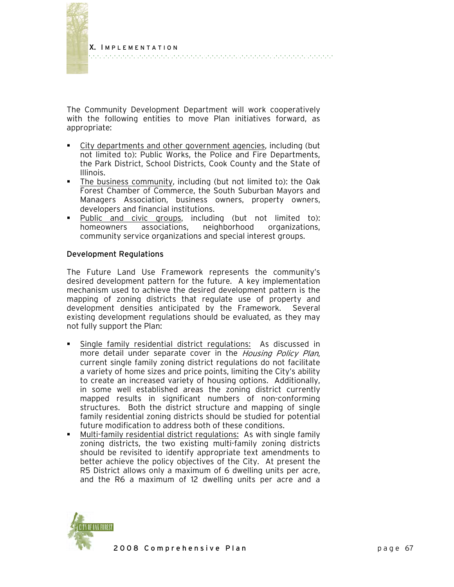

The Community Development Department will work cooperatively with the following entities to move Plan initiatives forward, as appropriate:

- City departments and other government agencies, including (but not limited to): Public Works, the Police and Fire Departments, the Park District, School Districts, Cook County and the State of Illinois.
- The business community, including (but not limited to): the Oak Forest Chamber of Commerce, the South Suburban Mayors and Managers Association, business owners, property owners, developers and financial institutions.
- Public and civic groups, including (but not limited to): homeowners associations, neighborhood organizations, community service organizations and special interest groups.

## Development Regulations

The Future Land Use Framework represents the community's desired development pattern for the future. A key implementation mechanism used to achieve the desired development pattern is the mapping of zoning districts that regulate use of property and development densities anticipated by the Framework. Several existing development regulations should be evaluated, as they may not fully support the Plan:

- Single family residential district regulations: As discussed in more detail under separate cover in the Housing Policy Plan, current single family zoning district regulations do not facilitate a variety of home sizes and price points, limiting the City's ability to create an increased variety of housing options. Additionally, in some well established areas the zoning district currently mapped results in significant numbers of non-conforming structures. Both the district structure and mapping of single family residential zoning districts should be studied for potential future modification to address both of these conditions.
- Multi-family residential district regulations: As with single family zoning districts, the two existing multi-family zoning districts should be revisited to identify appropriate text amendments to better achieve the policy objectives of the City. At present the R5 District allows only a maximum of 6 dwelling units per acre, and the R6 a maximum of 12 dwelling units per acre and a

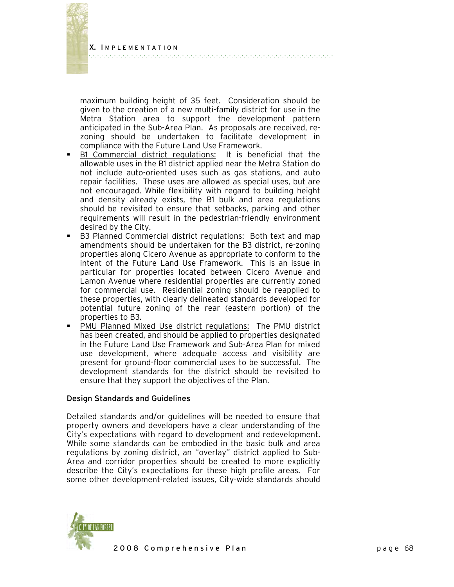maximum building height of 35 feet. Consideration should be given to the creation of a new multi-family district for use in the Metra Station area to support the development pattern anticipated in the Sub-Area Plan. As proposals are received, rezoning should be undertaken to facilitate development in compliance with the Future Land Use Framework.

- B1 Commercial district regulations: It is beneficial that the allowable uses in the B1 district applied near the Metra Station do not include auto-oriented uses such as gas stations, and auto repair facilities. These uses are allowed as special uses, but are not encouraged. While flexibility with regard to building height and density already exists, the B1 bulk and area regulations should be revisited to ensure that setbacks, parking and other requirements will result in the pedestrian-friendly environment desired by the City.
- B3 Planned Commercial district regulations: Both text and map amendments should be undertaken for the B3 district, re-zoning properties along Cicero Avenue as appropriate to conform to the intent of the Future Land Use Framework. This is an issue in particular for properties located between Cicero Avenue and Lamon Avenue where residential properties are currently zoned for commercial use. Residential zoning should be reapplied to these properties, with clearly delineated standards developed for potential future zoning of the rear (eastern portion) of the properties to B3.
- PMU Planned Mixed Use district regulations: The PMU district has been created, and should be applied to properties designated in the Future Land Use Framework and Sub-Area Plan for mixed use development, where adequate access and visibility are present for ground-floor commercial uses to be successful. The development standards for the district should be revisited to ensure that they support the objectives of the Plan.

#### Design Standards and Guidelines

Detailed standards and/or guidelines will be needed to ensure that property owners and developers have a clear understanding of the City's expectations with regard to development and redevelopment. While some standards can be embodied in the basic bulk and area regulations by zoning district, an "overlay" district applied to Sub-Area and corridor properties should be created to more explicitly describe the City's expectations for these high profile areas. For some other development-related issues, City-wide standards should

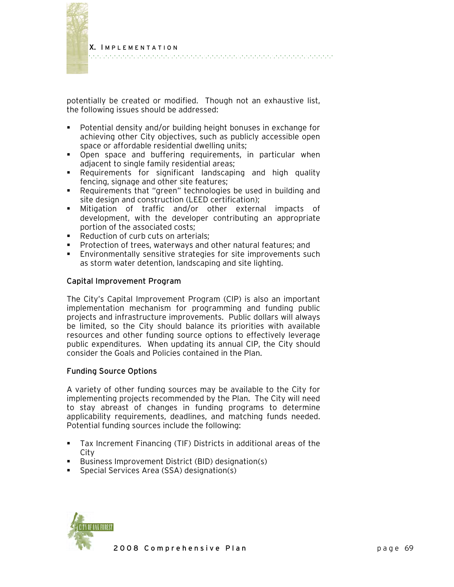

potentially be created or modified. Though not an exhaustive list, the following issues should be addressed:

- Potential density and/or building height bonuses in exchange for achieving other City objectives, such as publicly accessible open space or affordable residential dwelling units;
- Open space and buffering requirements, in particular when adjacent to single family residential areas;
- Requirements for significant landscaping and high quality fencing, signage and other site features;
- Requirements that "green" technologies be used in building and site design and construction (LEED certification);
- Mitigation of traffic and/or other external impacts of development, with the developer contributing an appropriate portion of the associated costs;
- Reduction of curb cuts on arterials;
- **Protection of trees, waterways and other natural features; and**
- Environmentally sensitive strategies for site improvements such as storm water detention, landscaping and site lighting.

## Capital Improvement Program

The City's Capital Improvement Program (CIP) is also an important implementation mechanism for programming and funding public projects and infrastructure improvements. Public dollars will always be limited, so the City should balance its priorities with available resources and other funding source options to effectively leverage public expenditures. When updating its annual CIP, the City should consider the Goals and Policies contained in the Plan.

#### Funding Source Options

A variety of other funding sources may be available to the City for implementing projects recommended by the Plan. The City will need to stay abreast of changes in funding programs to determine applicability requirements, deadlines, and matching funds needed. Potential funding sources include the following:

- Tax Increment Financing (TIF) Districts in additional areas of the City
- Business Improvement District (BID) designation(s)
- **Special Services Area (SSA) designation(s)**

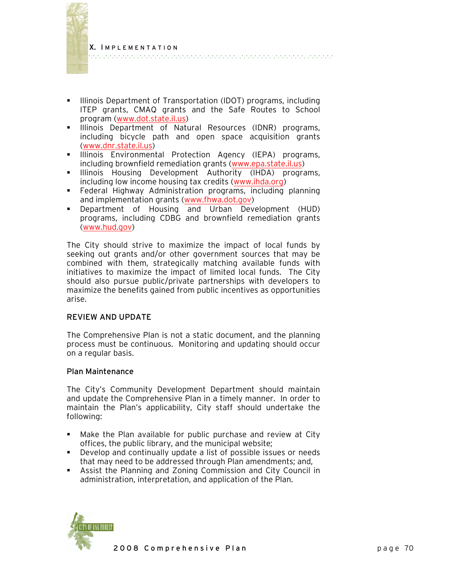

- **Illinois Department of Transportation (IDOT) programs, including** ITEP grants, CMAQ grants and the Safe Routes to School program [\(www.dot.state.il.us\)](http://www.dot.state.il.us/)
- **Illinois Department of Natural Resources (IDNR) programs,** including bicycle path and open space acquisition grants ([www.dnr.state.il.us](http://www.dnr.state.il.us/))
- **Illinois Environmental Protection Agency (IEPA) programs,** including brownfield remediation grants [\(www.epa.state.il.us](http://www.epa.state.il.us/))
- **Illinois Housing Development Authority (IHDA) programs,** including low income housing tax credits [\(www.ihda.org](http://www.ihda.org/))
- Federal Highway Administration programs, including planning and implementation grants [\(www.fhwa.dot.gov](http://www.fhwa.dot.gov/))
- Department of Housing and Urban Development (HUD) programs, including CDBG and brownfield remediation grants ([www.hud.gov\)](http://www.hud.gov/)

The City should strive to maximize the impact of local funds by seeking out grants and/or other government sources that may be combined with them, strategically matching available funds with initiatives to maximize the impact of limited local funds. The City should also pursue public/private partnerships with developers to maximize the benefits gained from public incentives as opportunities arise.

## REVIEW AND UPDATE

The Comprehensive Plan is not a static document, and the planning process must be continuous. Monitoring and updating should occur on a regular basis.

## Plan Maintenance

The City's Community Development Department should maintain and update the Comprehensive Plan in a timely manner. In order to maintain the Plan's applicability, City staff should undertake the following:

- Make the Plan available for public purchase and review at City offices, the public library, and the municipal website;
- Develop and continually update a list of possible issues or needs that may need to be addressed through Plan amendments; and,
- Assist the Planning and Zoning Commission and City Council in administration, interpretation, and application of the Plan.

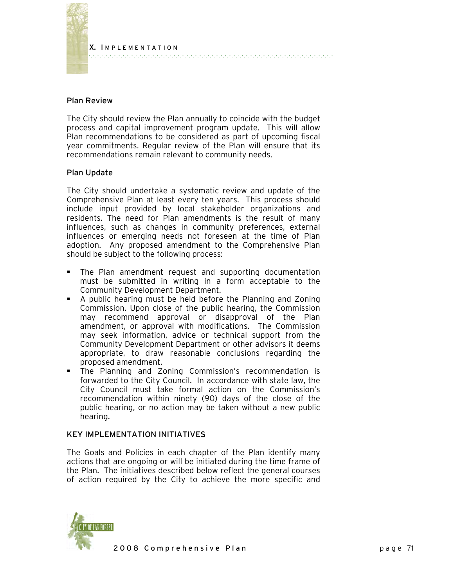

#### Plan Review

The City should review the Plan annually to coincide with the budget process and capital improvement program update. This will allow Plan recommendations to be considered as part of upcoming fiscal year commitments. Regular review of the Plan will ensure that its recommendations remain relevant to community needs.

## Plan Update

The City should undertake a systematic review and update of the Comprehensive Plan at least every ten years. This process should include input provided by local stakeholder organizations and residents. The need for Plan amendments is the result of many influences, such as changes in community preferences, external influences or emerging needs not foreseen at the time of Plan adoption. Any proposed amendment to the Comprehensive Plan should be subject to the following process:

- The Plan amendment request and supporting documentation must be submitted in writing in a form acceptable to the Community Development Department.
- A public hearing must be held before the Planning and Zoning Commission. Upon close of the public hearing, the Commission may recommend approval or disapproval of the Plan amendment, or approval with modifications. The Commission may seek information, advice or technical support from the Community Development Department or other advisors it deems appropriate, to draw reasonable conclusions regarding the proposed amendment.
- The Planning and Zoning Commission's recommendation is forwarded to the City Council. In accordance with state law, the City Council must take formal action on the Commission's recommendation within ninety (90) days of the close of the public hearing, or no action may be taken without a new public hearing.

#### KEY IMPLEMENTATION INITIATIVES

The Goals and Policies in each chapter of the Plan identify many actions that are ongoing or will be initiated during the time frame of the Plan. The initiatives described below reflect the general courses of action required by the City to achieve the more specific and

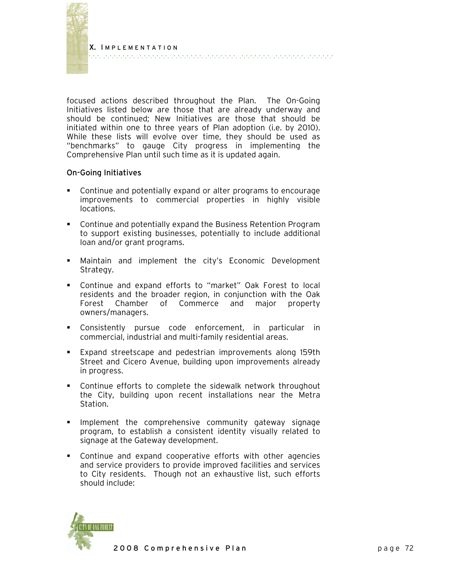

focused actions described throughout the Plan. The On-Going Initiatives listed below are those that are already underway and should be continued; New Initiatives are those that should be initiated within one to three years of Plan adoption (i.e. by 2010). While these lists will evolve over time, they should be used as "benchmarks" to gauge City progress in implementing the Comprehensive Plan until such time as it is updated again.

## On-Going Initiatives

- Continue and potentially expand or alter programs to encourage improvements to commercial properties in highly visible locations.
- Continue and potentially expand the Business Retention Program to support existing businesses, potentially to include additional loan and/or grant programs.
- Maintain and implement the city's Economic Development Strategy.
- Continue and expand efforts to "market" Oak Forest to local residents and the broader region, in conjunction with the Oak Forest Chamber of Commerce and major property owners/managers.
- Consistently pursue code enforcement, in particular in commercial, industrial and multi-family residential areas.
- Expand streetscape and pedestrian improvements along 159th Street and Cicero Avenue, building upon improvements already in progress.
- Continue efforts to complete the sidewalk network throughout the City, building upon recent installations near the Metra Station.
- **Implement the comprehensive community gateway signage** program, to establish a consistent identity visually related to signage at the Gateway development.
- Continue and expand cooperative efforts with other agencies and service providers to provide improved facilities and services to City residents. Though not an exhaustive list, such efforts should include:

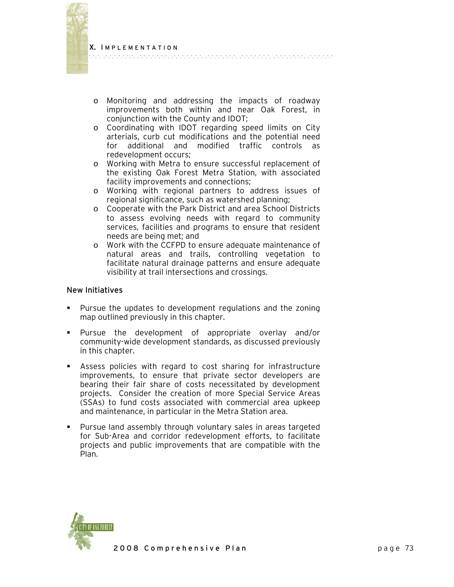

- o Monitoring and addressing the impacts of roadway improvements both within and near Oak Forest, in conjunction with the County and IDOT;
- o Coordinating with IDOT regarding speed limits on City arterials, curb cut modifications and the potential need for additional and modified traffic controls as redevelopment occurs;
- o Working with Metra to ensure successful replacement of the existing Oak Forest Metra Station, with associated facility improvements and connections;
- o Working with regional partners to address issues of regional significance, such as watershed planning;
- o Cooperate with the Park District and area School Districts to assess evolving needs with regard to community services, facilities and programs to ensure that resident needs are being met; and
- o Work with the CCFPD to ensure adequate maintenance of natural areas and trails, controlling vegetation to facilitate natural drainage patterns and ensure adequate visibility at trail intersections and crossings.

## New Initiatives

- Pursue the updates to development regulations and the zoning map outlined previously in this chapter.
- Pursue the development of appropriate overlay and/or community-wide development standards, as discussed previously in this chapter.
- Assess policies with regard to cost sharing for infrastructure improvements, to ensure that private sector developers are bearing their fair share of costs necessitated by development projects. Consider the creation of more Special Service Areas (SSAs) to fund costs associated with commercial area upkeep and maintenance, in particular in the Metra Station area.
- Pursue land assembly through voluntary sales in areas targeted for Sub-Area and corridor redevelopment efforts, to facilitate projects and public improvements that are compatible with the Plan.